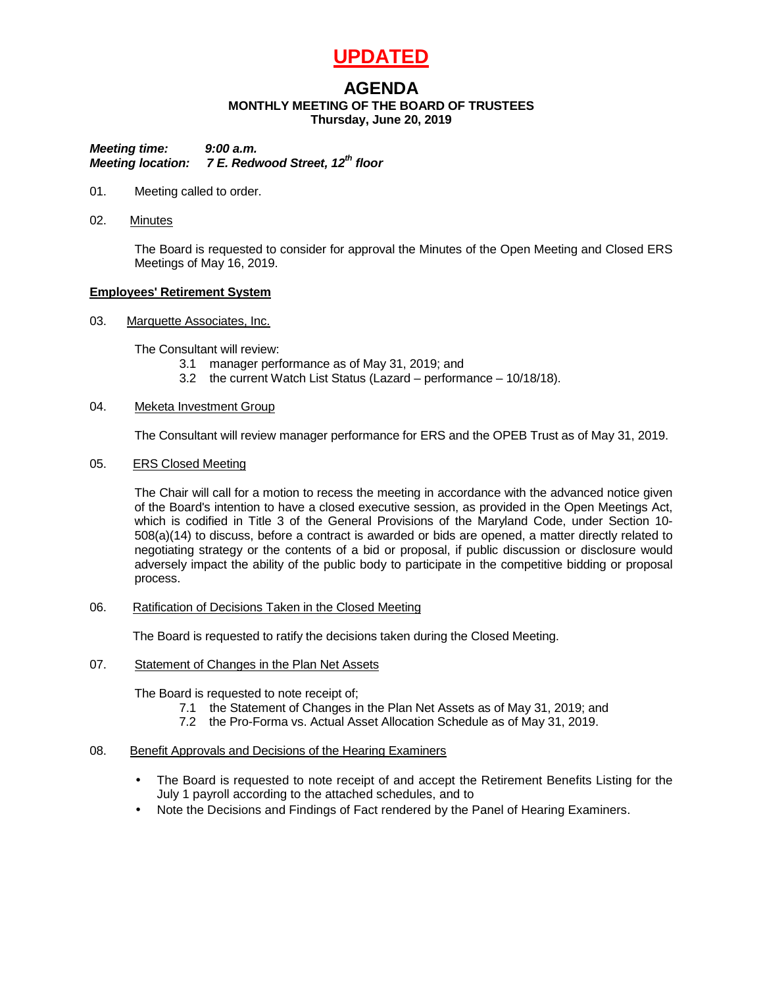# **UPDATED**

# **AGENDA**

# **MONTHLY MEETING OF THE BOARD OF TRUSTEES**

**Thursday, June 20, 2019**

*Meeting time: 9:00 a.m. Meeting location: 7 E. Redwood Street, 12th floor*

- 01. Meeting called to order.
- 02. Minutes

The Board is requested to consider for approval the Minutes of the Open Meeting and Closed ERS Meetings of May 16, 2019.

# **Employees' Retirement System**

03. Marquette Associates, Inc.

The Consultant will review:

- 3.1 manager performance as of May 31, 2019; and
- 3.2 the current Watch List Status (Lazard performance 10/18/18).

# 04. Meketa Investment Group

The Consultant will review manager performance for ERS and the OPEB Trust as of May 31, 2019.

# 05. ERS Closed Meeting

The Chair will call for a motion to recess the meeting in accordance with the advanced notice given of the Board's intention to have a closed executive session, as provided in the Open Meetings Act, which is codified in Title 3 of the General Provisions of the Maryland Code, under Section 10- 508(a)(14) to discuss, before a contract is awarded or bids are opened, a matter directly related to negotiating strategy or the contents of a bid or proposal, if public discussion or disclosure would adversely impact the ability of the public body to participate in the competitive bidding or proposal process.

06. Ratification of Decisions Taken in the Closed Meeting

The Board is requested to ratify the decisions taken during the Closed Meeting.

07. Statement of Changes in the Plan Net Assets

The Board is requested to note receipt of;

- 7.1 the Statement of Changes in the Plan Net Assets as of May 31, 2019; and
- 7.2 the Pro-Forma vs. Actual Asset Allocation Schedule as of May 31, 2019.

## 08. Benefit Approvals and Decisions of the Hearing Examiners

- The Board is requested to note receipt of and accept the Retirement Benefits Listing for the July 1 payroll according to the attached schedules, and to
- Note the Decisions and Findings of Fact rendered by the Panel of Hearing Examiners.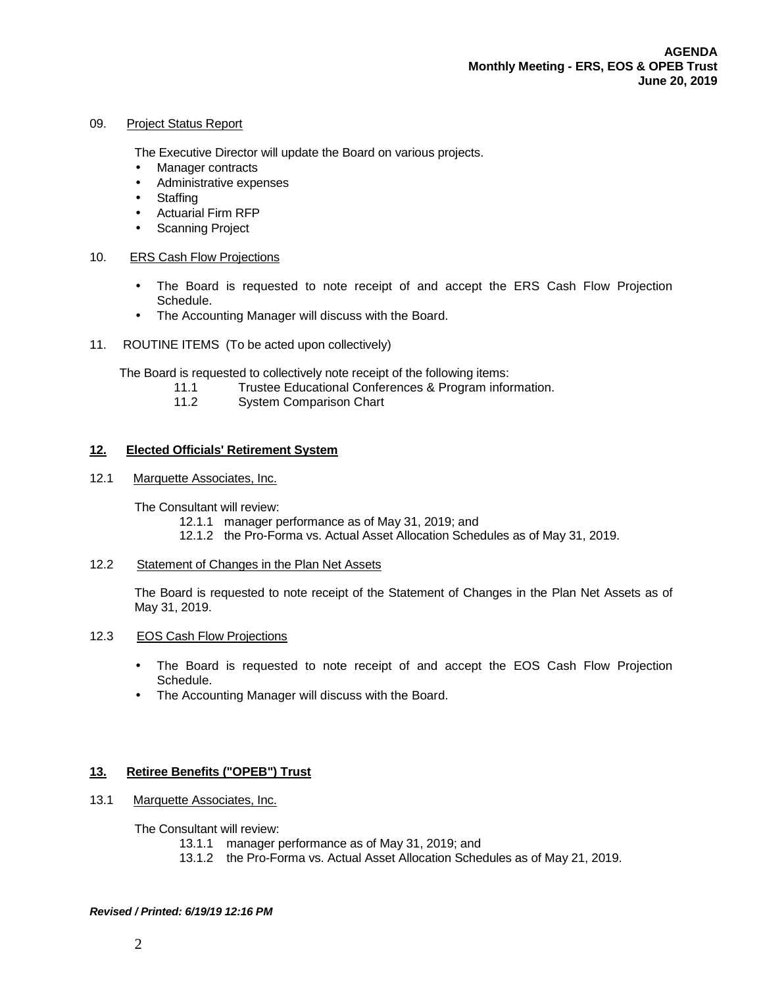# 09. Project Status Report

The Executive Director will update the Board on various projects.

- Manager contracts  $\epsilon$
- Administrative expenses
- **Staffing**
- Actuarial Firm RFP
- Scanning Project

#### 10. ERS Cash Flow Projections

- The Board is requested to note receipt of and accept the ERS Cash Flow Projection Schedule.
- The Accounting Manager will discuss with the Board.  $\epsilon$
- 11. ROUTINE ITEMS (To be acted upon collectively)

The Board is requested to collectively note receipt of the following items:<br>11.1 Trustee Educational Conferences & Program infor

- Trustee Educational Conferences & Program information.
	- 11.2 System Comparison Chart

#### **12. Elected Officials' Retirement System**

12.1 Marquette Associates, Inc.

The Consultant will review:

- 12.1.1 manager performance as of May 31, 2019; and
- 12.1.2 the Pro-Forma vs. Actual Asset Allocation Schedules as of May 31, 2019.

# 12.2 Statement of Changes in the Plan Net Assets

The Board is requested to note receipt of the Statement of Changes in the Plan Net Assets as of May 31, 2019.

#### 12.3 EOS Cash Flow Projections

- The Board is requested to note receipt of and accept the EOS Cash Flow Projection ä. Schedule.
- The Accounting Manager will discuss with the Board.

## **13. Retiree Benefits ("OPEB") Trust**

13.1 Marquette Associates, Inc.

The Consultant will review:

- 13.1.1 manager performance as of May 31, 2019; and
- 13.1.2 the Pro-Forma vs. Actual Asset Allocation Schedules as of May 21, 2019.

#### *Revised / Printed: 6/19/19 12:16 PM*